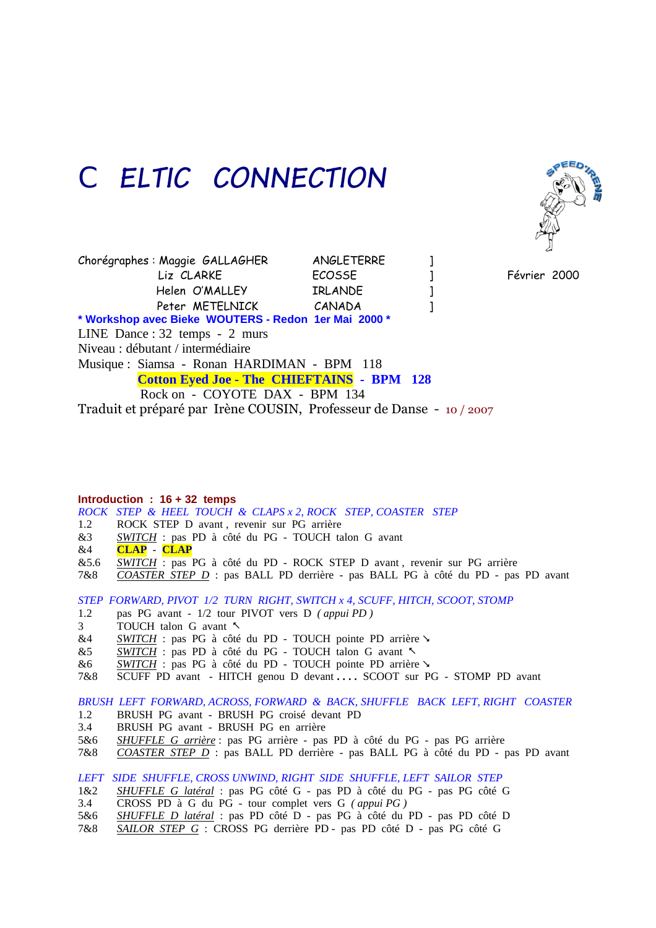## *CELTIC CONNECTION*



Chorégraphes : Maggie GALLAGHER ANGLETERRE ] Liz CLARKE ECOSSE ] Février 2000 Helen O'MALLEY IRLANDE 1 Peter METELNICK CANADA 1 **\* Workshop avec Bieke WOUTERS - Redon 1er Mai 2000 \*** LINE Dance : 32 temps - 2 murs Niveau : débutant / intermédiaire Musique : Siamsa - Ronan HARDIMAN - BPM 118 **Cotton Eyed Joe - The CHIEFTAINS - BPM 128**  Rock on - COYOTE DAX - BPM 134 Traduit et préparé par Irène COUSIN, Professeur de Danse - 10 / 2007

**Introduction : 16 + 32 temps** *ROCK STEP & HEEL TOUCH & CLAPS x 2, ROCK STEP, COASTER STEP* ROCK STEP D avant, revenir sur PG arrière &3 *SWITCH* : pas PD à côté du PG - TOUCH talon G avant &4 **CLAP** - **CLAP** &5.6 *SWITCH* : pas PG à côté du PD - ROCK STEP D avant , revenir sur PG arrière 7&8 *COASTER STEP D* : pas BALL PD derrière - pas BALL PG à côté du PD - pas PD avant

*STEP FORWARD, PIVOT 1/2 TURN RIGHT, SWITCH x 4, SCUFF, HITCH, SCOOT, STOMP*

- 1.2 pas PG avant 1/2 tour PIVOT vers D *( appui PD )*
- 3 TOUCH talon G avant
- &4 **SWITCH** : pas PG à côté du PD TOUCH pointe PD arrière
- &5 *SWITCH* : pas PD à côté du PG TOUCH talon G avant
- &6 *SWITCH* : pas PG à côté du PD TOUCH pointe PD arrière
- 7&8 SCUFF PD avant HITCH genou D devant **. . . .** SCOOT sur PG STOMP PD avant

*BRUSH LEFT FORWARD, ACROSS, FORWARD & BACK, SHUFFLE BACK LEFT, RIGHT COASTER*

- 1.2 BRUSH PG avant BRUSH PG croisé devant PD
- 3.4 BRUSH PG avant BRUSH PG en arrière
- 5&6 *SHUFFLE G arrière* : pas PG arrière pas PD à côté du PG pas PG arrière
- 7&8 *COASTER STEP D* : pas BALL PD derrière pas BALL PG à côté du PD pas PD avant

*LEFT SIDE SHUFFLE, CROSS UNWIND, RIGHT SIDE SHUFFLE, LEFT SAILOR STEP*

- 1&2 *SHUFFLE G latéral* : pas PG côté G pas PD à côté du PG pas PG côté G
- 3.4 CROSS PD à G du PG tour complet vers G *( appui PG )*
- 5&6 *SHUFFLE D latéral* : pas PD côté D pas PG à côté du PD pas PD côté D
- 7&8 *SAILOR STEP G* : CROSS PG derrière PD pas PD côté D pas PG côté G